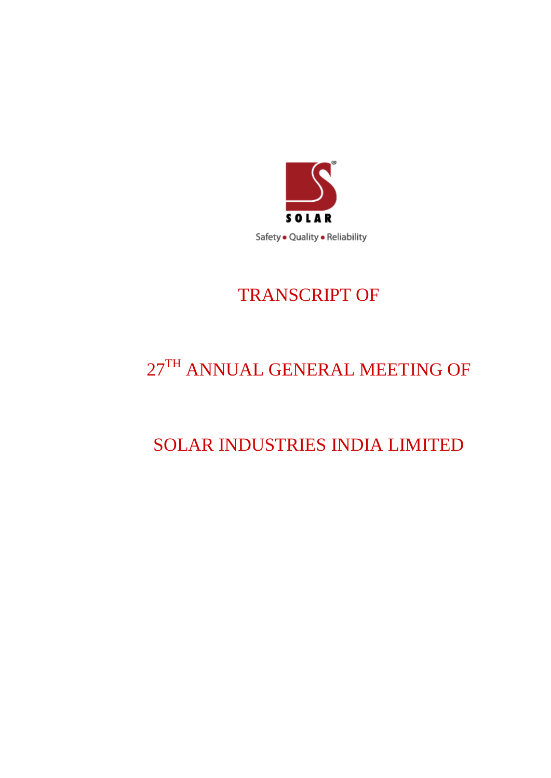

# TRANSCRIPT OF

# 27TH ANNUAL GENERAL MEETING OF

# SOLAR INDUSTRIES INDIA LIMITED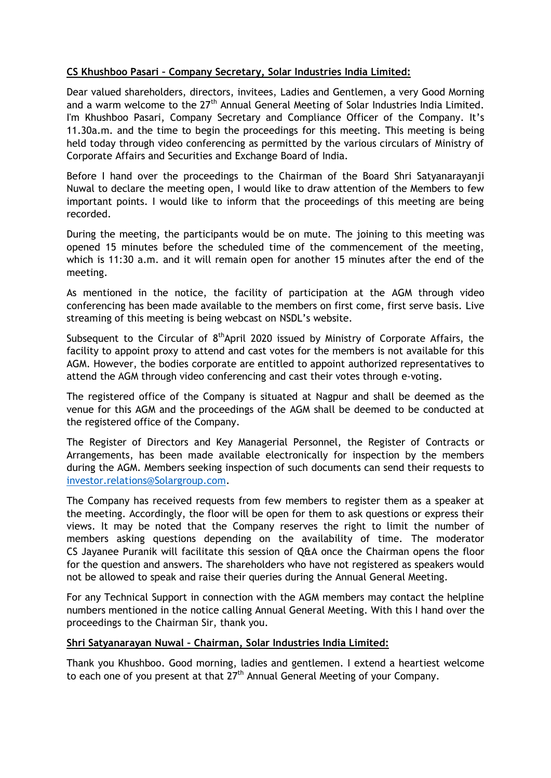# **CS Khushboo Pasari – Company Secretary, Solar Industries India Limited:**

Dear valued shareholders, directors, invitees, Ladies and Gentlemen, a very Good Morning and a warm welcome to the 27<sup>th</sup> Annual General Meeting of Solar Industries India Limited. I'm Khushboo Pasari, Company Secretary and Compliance Officer of the Company. It's 11.30a.m. and the time to begin the proceedings for this meeting. This meeting is being held today through video conferencing as permitted by the various circulars of Ministry of Corporate Affairs and Securities and Exchange Board of India.

Before I hand over the proceedings to the Chairman of the Board Shri Satyanarayanji Nuwal to declare the meeting open, I would like to draw attention of the Members to few important points. I would like to inform that the proceedings of this meeting are being recorded.

During the meeting, the participants would be on mute. The joining to this meeting was opened 15 minutes before the scheduled time of the commencement of the meeting, which is 11:30 a.m. and it will remain open for another 15 minutes after the end of the meeting.

As mentioned in the notice, the facility of participation at the AGM through video conferencing has been made available to the members on first come, first serve basis. Live streaming of this meeting is being webcast on NSDL's website.

Subsequent to the Circular of  $8<sup>th</sup>$ April 2020 issued by Ministry of Corporate Affairs, the facility to appoint proxy to attend and cast votes for the members is not available for this AGM. However, the bodies corporate are entitled to appoint authorized representatives to attend the AGM through video conferencing and cast their votes through e-voting.

The registered office of the Company is situated at Nagpur and shall be deemed as the venue for this AGM and the proceedings of the AGM shall be deemed to be conducted at the registered office of the Company.

The Register of Directors and Key Managerial Personnel, the Register of Contracts or Arrangements, has been made available electronically for inspection by the members during the AGM. Members seeking inspection of such documents can send their requests to [investor.relations@Solargroup.com.](mailto:investor.relations@Solargroup.com)

The Company has received requests from few members to register them as a speaker at the meeting. Accordingly, the floor will be open for them to ask questions or express their views. It may be noted that the Company reserves the right to limit the number of members asking questions depending on the availability of time. The moderator CS Jayanee Puranik will facilitate this session of Q&A once the Chairman opens the floor for the question and answers. The shareholders who have not registered as speakers would not be allowed to speak and raise their queries during the Annual General Meeting.

For any Technical Support in connection with the AGM members may contact the helpline numbers mentioned in the notice calling Annual General Meeting. With this I hand over the proceedings to the Chairman Sir, thank you.

#### **Shri Satyanarayan Nuwal – Chairman, Solar Industries India Limited:**

Thank you Khushboo. Good morning, ladies and gentlemen. I extend a heartiest welcome to each one of you present at that  $27<sup>th</sup>$  Annual General Meeting of your Company.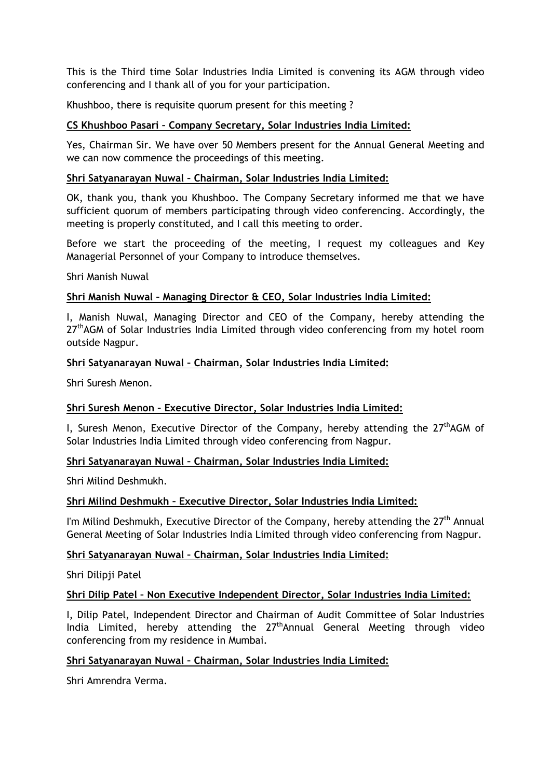This is the Third time Solar Industries India Limited is convening its AGM through video conferencing and I thank all of you for your participation.

Khushboo, there is requisite quorum present for this meeting ?

#### **CS Khushboo Pasari – Company Secretary, Solar Industries India Limited:**

Yes, Chairman Sir. We have over 50 Members present for the Annual General Meeting and we can now commence the proceedings of this meeting.

#### **Shri Satyanarayan Nuwal – Chairman, Solar Industries India Limited:**

OK, thank you, thank you Khushboo. The Company Secretary informed me that we have sufficient quorum of members participating through video conferencing. Accordingly, the meeting is properly constituted, and I call this meeting to order.

Before we start the proceeding of the meeting, I request my colleagues and Key Managerial Personnel of your Company to introduce themselves.

Shri Manish Nuwal

#### **Shri Manish Nuwal – Managing Director & CEO, Solar Industries India Limited:**

I, Manish Nuwal, Managing Director and CEO of the Company, hereby attending the  $27<sup>th</sup>$ AGM of Solar Industries India Limited through video conferencing from my hotel room outside Nagpur.

#### **Shri Satyanarayan Nuwal – Chairman, Solar Industries India Limited:**

Shri Suresh Menon.

#### **Shri Suresh Menon – Executive Director, Solar Industries India Limited:**

I, Suresh Menon, Executive Director of the Company, hereby attending the  $27<sup>th</sup>AGM$  of Solar Industries India Limited through video conferencing from Nagpur.

#### **Shri Satyanarayan Nuwal – Chairman, Solar Industries India Limited:**

Shri Milind Deshmukh.

#### **Shri Milind Deshmukh – Executive Director, Solar Industries India Limited:**

I'm Milind Deshmukh, Executive Director of the Company, hereby attending the 27<sup>th</sup> Annual General Meeting of Solar Industries India Limited through video conferencing from Nagpur.

#### **Shri Satyanarayan Nuwal – Chairman, Solar Industries India Limited:**

Shri Dilipji Patel

#### **Shri Dilip Patel – Non Executive Independent Director, Solar Industries India Limited:**

I, Dilip Patel, Independent Director and Chairman of Audit Committee of Solar Industries India Limited, hereby attending the 27<sup>th</sup>Annual General Meeting through video conferencing from my residence in Mumbai.

#### **Shri Satyanarayan Nuwal – Chairman, Solar Industries India Limited:**

Shri Amrendra Verma.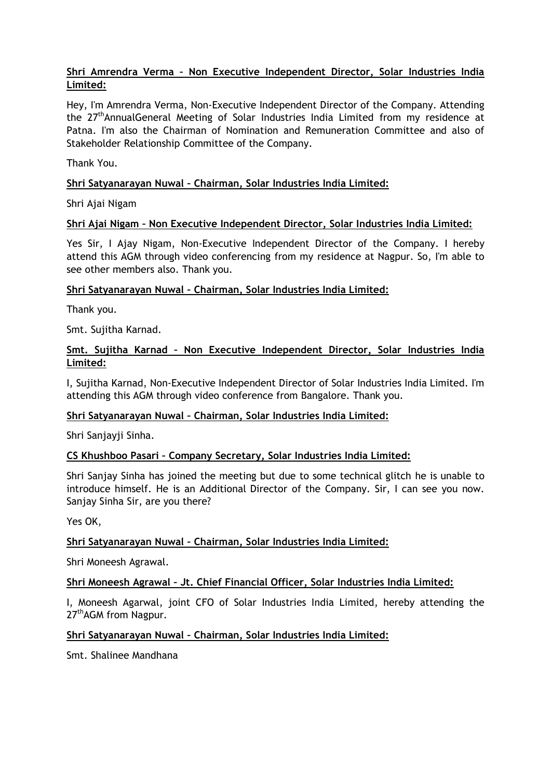# **Shri Amrendra Verma – Non Executive Independent Director, Solar Industries India Limited:**

Hey, I'm Amrendra Verma, Non-Executive Independent Director of the Company. Attending the 27<sup>th</sup>AnnualGeneral Meeting of Solar Industries India Limited from my residence at Patna. I'm also the Chairman of Nomination and Remuneration Committee and also of Stakeholder Relationship Committee of the Company.

Thank You.

# **Shri Satyanarayan Nuwal – Chairman, Solar Industries India Limited:**

Shri Ajai Nigam

# **Shri Ajai Nigam – Non Executive Independent Director, Solar Industries India Limited:**

Yes Sir, I Ajay Nigam, Non-Executive Independent Director of the Company. I hereby attend this AGM through video conferencing from my residence at Nagpur. So, I'm able to see other members also. Thank you.

# **Shri Satyanarayan Nuwal – Chairman, Solar Industries India Limited:**

Thank you.

Smt. Sujitha Karnad.

# **Smt. Sujitha Karnad – Non Executive Independent Director, Solar Industries India Limited:**

I, Sujitha Karnad, Non-Executive Independent Director of Solar Industries India Limited. I'm attending this AGM through video conference from Bangalore. Thank you.

#### **Shri Satyanarayan Nuwal – Chairman, Solar Industries India Limited:**

Shri Sanjayji Sinha.

#### **CS Khushboo Pasari – Company Secretary, Solar Industries India Limited:**

Shri Sanjay Sinha has joined the meeting but due to some technical glitch he is unable to introduce himself. He is an Additional Director of the Company. Sir, I can see you now. Sanjay Sinha Sir, are you there?

Yes OK,

# **Shri Satyanarayan Nuwal – Chairman, Solar Industries India Limited:**

Shri Moneesh Agrawal.

#### **Shri Moneesh Agrawal – Jt. Chief Financial Officer, Solar Industries India Limited:**

I, Moneesh Agarwal, joint CFO of Solar Industries India Limited, hereby attending the 27<sup>th</sup>AGM from Nagpur.

#### **Shri Satyanarayan Nuwal – Chairman, Solar Industries India Limited:**

Smt. Shalinee Mandhana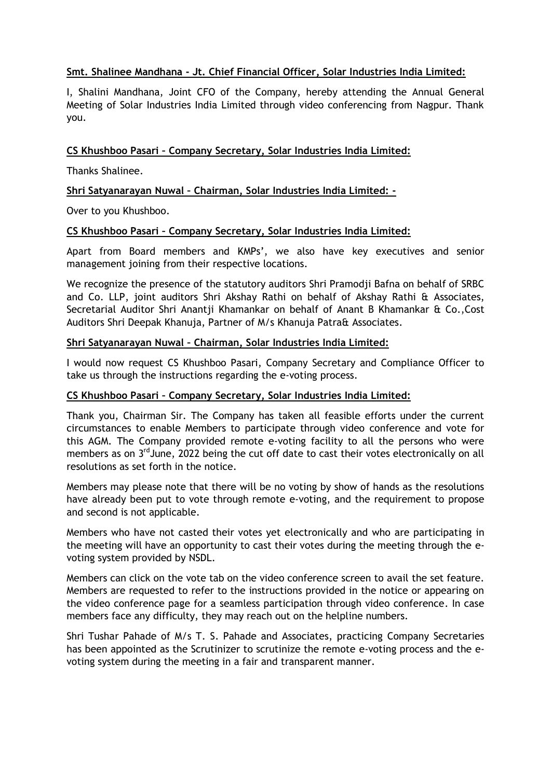# **Smt. Shalinee Mandhana - Jt. Chief Financial Officer, Solar Industries India Limited:**

I, Shalini Mandhana, Joint CFO of the Company, hereby attending the Annual General Meeting of Solar Industries India Limited through video conferencing from Nagpur. Thank you.

#### **CS Khushboo Pasari – Company Secretary, Solar Industries India Limited:**

Thanks Shalinee.

# **Shri Satyanarayan Nuwal – Chairman, Solar Industries India Limited: -**

Over to you Khushboo.

#### **CS Khushboo Pasari – Company Secretary, Solar Industries India Limited:**

Apart from Board members and KMPs', we also have key executives and senior management joining from their respective locations.

We recognize the presence of the statutory auditors Shri Pramodji Bafna on behalf of SRBC and Co. LLP, joint auditors Shri Akshay Rathi on behalf of Akshay Rathi & Associates, Secretarial Auditor Shri Anantji Khamankar on behalf of Anant B Khamankar & Co.,Cost Auditors Shri Deepak Khanuja, Partner of M/s Khanuja Patra& Associates.

#### **Shri Satyanarayan Nuwal – Chairman, Solar Industries India Limited:**

I would now request CS Khushboo Pasari, Company Secretary and Compliance Officer to take us through the instructions regarding the e-voting process.

#### **CS Khushboo Pasari – Company Secretary, Solar Industries India Limited:**

Thank you, Chairman Sir. The Company has taken all feasible efforts under the current circumstances to enable Members to participate through video conference and vote for this AGM. The Company provided remote e-voting facility to all the persons who were members as on 3<sup>rd</sup> June, 2022 being the cut off date to cast their votes electronically on all resolutions as set forth in the notice.

Members may please note that there will be no voting by show of hands as the resolutions have already been put to vote through remote e-voting, and the requirement to propose and second is not applicable.

Members who have not casted their votes yet electronically and who are participating in the meeting will have an opportunity to cast their votes during the meeting through the evoting system provided by NSDL.

Members can click on the vote tab on the video conference screen to avail the set feature. Members are requested to refer to the instructions provided in the notice or appearing on the video conference page for a seamless participation through video conference. In case members face any difficulty, they may reach out on the helpline numbers.

Shri Tushar Pahade of M/s T. S. Pahade and Associates, practicing Company Secretaries has been appointed as the Scrutinizer to scrutinize the remote e-voting process and the evoting system during the meeting in a fair and transparent manner.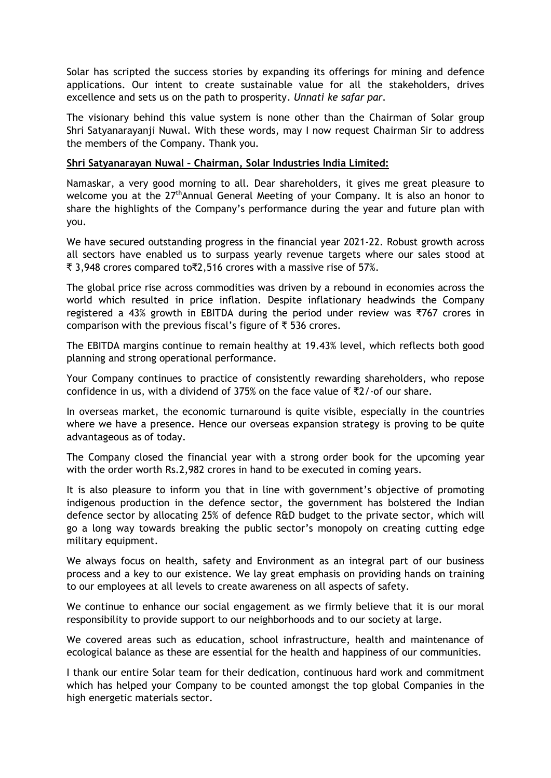Solar has scripted the success stories by expanding its offerings for mining and defence applications. Our intent to create sustainable value for all the stakeholders, drives excellence and sets us on the path to prosperity. *Unnati ke safar par.*

The visionary behind this value system is none other than the Chairman of Solar group Shri Satyanarayanji Nuwal. With these words, may I now request Chairman Sir to address the members of the Company. Thank you.

#### **Shri Satyanarayan Nuwal – Chairman, Solar Industries India Limited:**

Namaskar, a very good morning to all. Dear shareholders, it gives me great pleasure to welcome you at the  $27<sup>th</sup>$ Annual General Meeting of your Company. It is also an honor to share the highlights of the Company's performance during the year and future plan with you.

We have secured outstanding progress in the financial year 2021-22. Robust growth across all sectors have enabled us to surpass yearly revenue targets where our sales stood at ₹ 3,948 crores compared to₹2,516 crores with a massive rise of 57%.

The global price rise across commodities was driven by a rebound in economies across the world which resulted in price inflation. Despite inflationary headwinds the Company registered a 43% growth in EBITDA during the period under review was ₹767 crores in comparison with the previous fiscal's figure of ₹ 536 crores.

The EBITDA margins continue to remain healthy at 19.43% level, which reflects both good planning and strong operational performance.

Your Company continues to practice of consistently rewarding shareholders, who repose confidence in us, with a dividend of 375% on the face value of  $\overline{z}/$ -of our share.

In overseas market, the economic turnaround is quite visible, especially in the countries where we have a presence. Hence our overseas expansion strategy is proving to be quite advantageous as of today.

The Company closed the financial year with a strong order book for the upcoming year with the order worth Rs.2,982 crores in hand to be executed in coming years.

It is also pleasure to inform you that in line with government's objective of promoting indigenous production in the defence sector, the government has bolstered the Indian defence sector by allocating 25% of defence R&D budget to the private sector, which will go a long way towards breaking the public sector's monopoly on creating cutting edge military equipment.

We always focus on health, safety and Environment as an integral part of our business process and a key to our existence. We lay great emphasis on providing hands on training to our employees at all levels to create awareness on all aspects of safety.

We continue to enhance our social engagement as we firmly believe that it is our moral responsibility to provide support to our neighborhoods and to our society at large.

We covered areas such as education, school infrastructure, health and maintenance of ecological balance as these are essential for the health and happiness of our communities.

I thank our entire Solar team for their dedication, continuous hard work and commitment which has helped your Company to be counted amongst the top global Companies in the high energetic materials sector.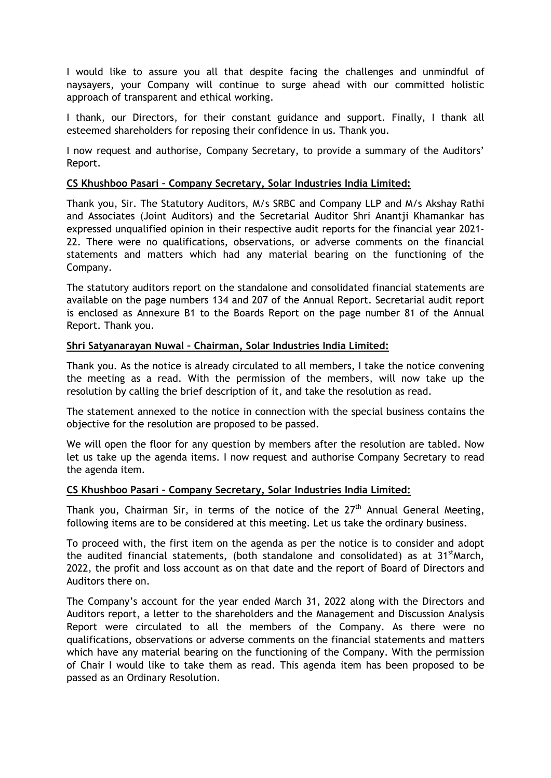I would like to assure you all that despite facing the challenges and unmindful of naysayers, your Company will continue to surge ahead with our committed holistic approach of transparent and ethical working.

I thank, our Directors, for their constant guidance and support. Finally, I thank all esteemed shareholders for reposing their confidence in us. Thank you.

I now request and authorise, Company Secretary, to provide a summary of the Auditors' Report.

#### **CS Khushboo Pasari – Company Secretary, Solar Industries India Limited:**

Thank you, Sir. The Statutory Auditors, M/s SRBC and Company LLP and M/s Akshay Rathi and Associates (Joint Auditors) and the Secretarial Auditor Shri Anantji Khamankar has expressed unqualified opinion in their respective audit reports for the financial year 2021- 22. There were no qualifications, observations, or adverse comments on the financial statements and matters which had any material bearing on the functioning of the Company.

The statutory auditors report on the standalone and consolidated financial statements are available on the page numbers 134 and 207 of the Annual Report. Secretarial audit report is enclosed as Annexure B1 to the Boards Report on the page number 81 of the Annual Report. Thank you.

#### **Shri Satyanarayan Nuwal – Chairman, Solar Industries India Limited:**

Thank you. As the notice is already circulated to all members, I take the notice convening the meeting as a read. With the permission of the members, will now take up the resolution by calling the brief description of it, and take the resolution as read.

The statement annexed to the notice in connection with the special business contains the objective for the resolution are proposed to be passed.

We will open the floor for any question by members after the resolution are tabled. Now let us take up the agenda items. I now request and authorise Company Secretary to read the agenda item.

#### **CS Khushboo Pasari – Company Secretary, Solar Industries India Limited:**

Thank you, Chairman Sir, in terms of the notice of the  $27<sup>th</sup>$  Annual General Meeting, following items are to be considered at this meeting. Let us take the ordinary business.

To proceed with, the first item on the agenda as per the notice is to consider and adopt the audited financial statements, (both standalone and consolidated) as at 31<sup>st</sup>March, 2022, the profit and loss account as on that date and the report of Board of Directors and Auditors there on.

The Company's account for the year ended March 31, 2022 along with the Directors and Auditors report, a letter to the shareholders and the Management and Discussion Analysis Report were circulated to all the members of the Company. As there were no qualifications, observations or adverse comments on the financial statements and matters which have any material bearing on the functioning of the Company. With the permission of Chair I would like to take them as read. This agenda item has been proposed to be passed as an Ordinary Resolution.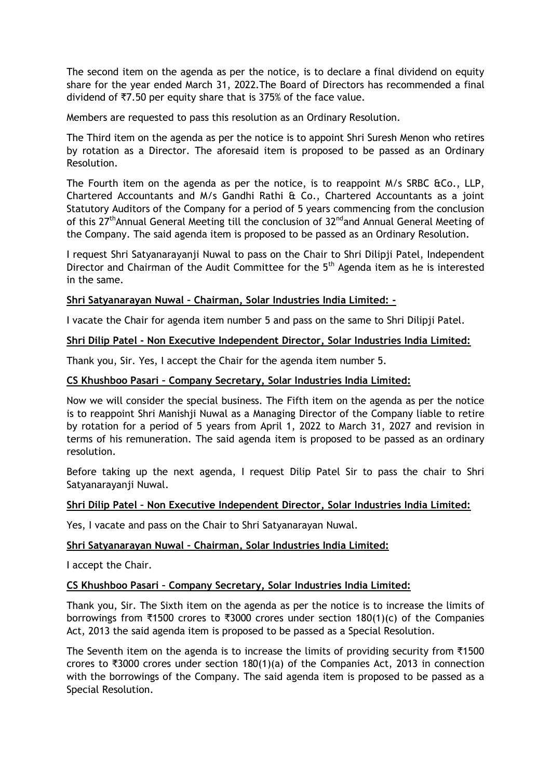The second item on the agenda as per the notice, is to declare a final dividend on equity share for the year ended March 31, 2022.The Board of Directors has recommended a final dividend of ₹7.50 per equity share that is 375% of the face value.

Members are requested to pass this resolution as an Ordinary Resolution.

The Third item on the agenda as per the notice is to appoint Shri Suresh Menon who retires by rotation as a Director. The aforesaid item is proposed to be passed as an Ordinary Resolution.

The Fourth item on the agenda as per the notice, is to reappoint M/s SRBC &Co., LLP, Chartered Accountants and M/s Gandhi Rathi & Co., Chartered Accountants as a joint Statutory Auditors of the Company for a period of 5 years commencing from the conclusion of this 27<sup>th</sup>Annual General Meeting till the conclusion of 32<sup>nd</sup>and Annual General Meeting of the Company. The said agenda item is proposed to be passed as an Ordinary Resolution.

I request Shri Satyanarayanji Nuwal to pass on the Chair to Shri Dilipji Patel, Independent Director and Chairman of the Audit Committee for the  $5<sup>th</sup>$  Agenda item as he is interested in the same.

# **Shri Satyanarayan Nuwal – Chairman, Solar Industries India Limited: -**

I vacate the Chair for agenda item number 5 and pass on the same to Shri Dilipji Patel.

#### **Shri Dilip Patel - Non Executive Independent Director, Solar Industries India Limited:**

Thank you, Sir. Yes, I accept the Chair for the agenda item number 5.

#### **CS Khushboo Pasari – Company Secretary, Solar Industries India Limited:**

Now we will consider the special business. The Fifth item on the agenda as per the notice is to reappoint Shri Manishji Nuwal as a Managing Director of the Company liable to retire by rotation for a period of 5 years from April 1, 2022 to March 31, 2027 and revision in terms of his remuneration. The said agenda item is proposed to be passed as an ordinary resolution.

Before taking up the next agenda, I request Dilip Patel Sir to pass the chair to Shri Satyanarayanji Nuwal.

#### **Shri Dilip Patel – Non Executive Independent Director, Solar Industries India Limited:**

Yes, I vacate and pass on the Chair to Shri Satyanarayan Nuwal.

#### **Shri Satyanarayan Nuwal – Chairman, Solar Industries India Limited:**

I accept the Chair.

#### **CS Khushboo Pasari – Company Secretary, Solar Industries India Limited:**

Thank you, Sir. The Sixth item on the agenda as per the notice is to increase the limits of borrowings from ₹1500 crores to ₹3000 crores under section 180(1)(c) of the Companies Act, 2013 the said agenda item is proposed to be passed as a Special Resolution.

The Seventh item on the agenda is to increase the limits of providing security from ₹1500 crores to ₹3000 crores under section 180(1)(a) of the Companies Act, 2013 in connection with the borrowings of the Company. The said agenda item is proposed to be passed as a Special Resolution.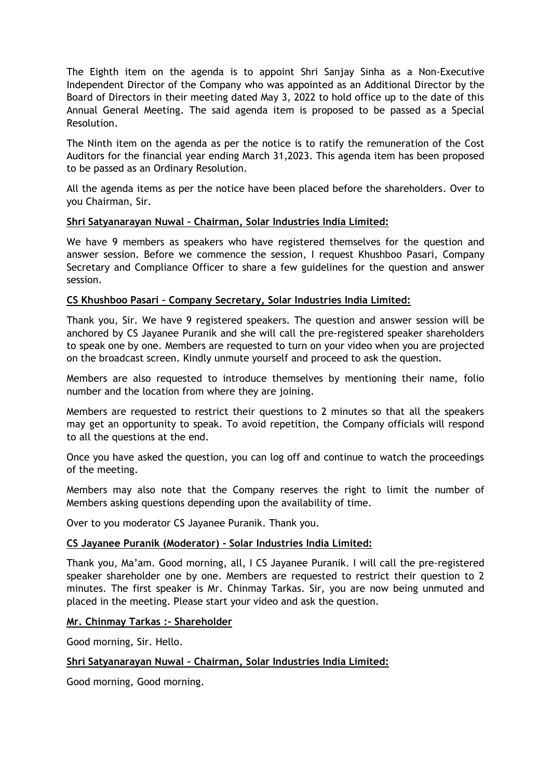The Eighth item on the agenda is to appoint Shri Sanjay Sinha as a Non-Executive Independent Director of the Company who was appointed as an Additional Director by the Board of Directors in their meeting dated May 3, 2022 to hold office up to the date of this Annual General Meeting. The said agenda item is proposed to be passed as a Special Resolution.

The Ninth item on the agenda as per the notice is to ratify the remuneration of the Cost Auditors for the financial year ending March 31,2023. This agenda item has been proposed to be passed as an Ordinary Resolution.

All the agenda items as per the notice have been placed before the shareholders. Over to you Chairman, Sir.

#### **Shri Satyanarayan Nuwal – Chairman, Solar Industries India Limited:**

We have 9 members as speakers who have registered themselves for the question and answer session. Before we commence the session, I request Khushboo Pasari, Company Secretary and Compliance Officer to share a few guidelines for the question and answer session.

#### **CS Khushboo Pasari – Company Secretary, Solar Industries India Limited:**

Thank you, Sir. We have 9 registered speakers. The question and answer session will be anchored by CS Jayanee Puranik and she will call the pre-registered speaker shareholders to speak one by one. Members are requested to turn on your video when you are projected on the broadcast screen. Kindly unmute yourself and proceed to ask the question.

Members are also requested to introduce themselves by mentioning their name, folio number and the location from where they are joining.

Members are requested to restrict their questions to 2 minutes so that all the speakers may get an opportunity to speak. To avoid repetition, the Company officials will respond to all the questions at the end.

Once you have asked the question, you can log off and continue to watch the proceedings of the meeting.

Members may also note that the Company reserves the right to limit the number of Members asking questions depending upon the availability of time.

Over to you moderator CS Jayanee Puranik. Thank you.

#### **CS Jayanee Puranik (Moderator) - Solar Industries India Limited:**

Thank you, Ma'am. Good morning, all, I CS Jayanee Puranik. I will call the pre-registered speaker shareholder one by one. Members are requested to restrict their question to 2 minutes. The first speaker is Mr. Chinmay Tarkas. Sir, you are now being unmuted and placed in the meeting. Please start your video and ask the question.

#### **Mr. Chinmay Tarkas :- Shareholder**

Good morning, Sir. Hello.

#### **Shri Satyanarayan Nuwal – Chairman, Solar Industries India Limited:**

Good morning, Good morning.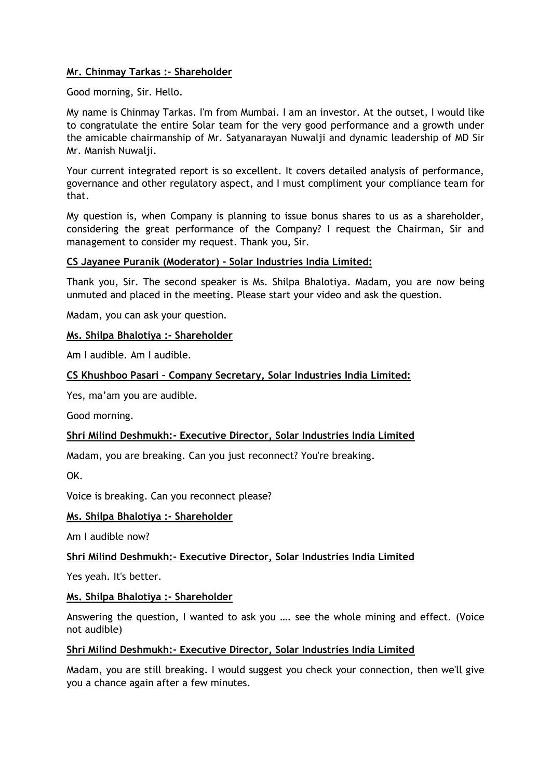# **Mr. Chinmay Tarkas :- Shareholder**

Good morning, Sir. Hello.

My name is Chinmay Tarkas. I'm from Mumbai. I am an investor. At the outset, I would like to congratulate the entire Solar team for the very good performance and a growth under the amicable chairmanship of Mr. Satyanarayan Nuwalji and dynamic leadership of MD Sir Mr. Manish Nuwalji.

Your current integrated report is so excellent. It covers detailed analysis of performance, governance and other regulatory aspect, and I must compliment your compliance team for that.

My question is, when Company is planning to issue bonus shares to us as a shareholder, considering the great performance of the Company? I request the Chairman, Sir and management to consider my request. Thank you, Sir.

#### **CS Jayanee Puranik (Moderator) - Solar Industries India Limited:**

Thank you, Sir. The second speaker is Ms. Shilpa Bhalotiya. Madam, you are now being unmuted and placed in the meeting. Please start your video and ask the question.

Madam, you can ask your question.

#### **Ms. Shilpa Bhalotiya :- Shareholder**

Am I audible. Am I audible.

#### **CS Khushboo Pasari – Company Secretary, Solar Industries India Limited:**

Yes, ma'am you are audible.

Good morning.

#### **Shri Milind Deshmukh:- Executive Director, Solar Industries India Limited**

Madam, you are breaking. Can you just reconnect? You're breaking.

OK.

Voice is breaking. Can you reconnect please?

#### **Ms. Shilpa Bhalotiya :- Shareholder**

Am I audible now?

#### **Shri Milind Deshmukh:- Executive Director, Solar Industries India Limited**

Yes yeah. It's better.

#### **Ms. Shilpa Bhalotiya :- Shareholder**

Answering the question, I wanted to ask you …. see the whole mining and effect. (Voice not audible)

#### **Shri Milind Deshmukh:- Executive Director, Solar Industries India Limited**

Madam, you are still breaking. I would suggest you check your connection, then we'll give you a chance again after a few minutes.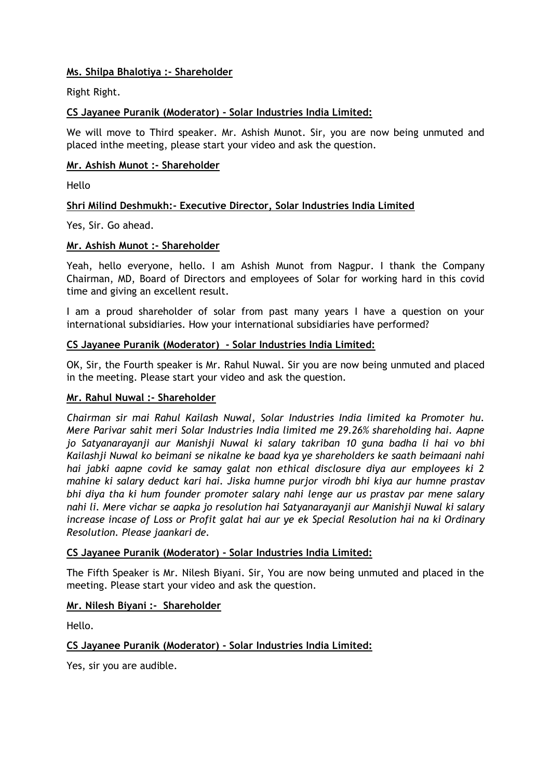# **Ms. Shilpa Bhalotiya :- Shareholder**

Right Right.

# **CS Jayanee Puranik (Moderator) - Solar Industries India Limited:**

We will move to Third speaker. Mr. Ashish Munot. Sir, you are now being unmuted and placed inthe meeting, please start your video and ask the question.

# **Mr. Ashish Munot :- Shareholder**

Hello

# **Shri Milind Deshmukh:- Executive Director, Solar Industries India Limited**

Yes, Sir. Go ahead.

#### **Mr. Ashish Munot :- Shareholder**

Yeah, hello everyone, hello. I am Ashish Munot from Nagpur. I thank the Company Chairman, MD, Board of Directors and employees of Solar for working hard in this covid time and giving an excellent result.

I am a proud shareholder of solar from past many years I have a question on your international subsidiaries. How your international subsidiaries have performed?

#### **CS Jayanee Puranik (Moderator) - Solar Industries India Limited:**

OK, Sir, the Fourth speaker is Mr. Rahul Nuwal. Sir you are now being unmuted and placed in the meeting. Please start your video and ask the question.

#### **Mr. Rahul Nuwal :- Shareholder**

*Chairman sir mai Rahul Kailash Nuwal, Solar Industries India limited ka Promoter hu. Mere Parivar sahit meri Solar Industries India limited me 29.26% shareholding hai. Aapne jo Satyanarayanji aur Manishji Nuwal ki salary takriban 10 guna badha li hai vo bhi Kailashji Nuwal ko beimani se nikalne ke baad kya ye shareholders ke saath beimaani nahi hai jabki aapne covid ke samay galat non ethical disclosure diya aur employees ki 2 mahine ki salary deduct kari hai. Jiska humne purjor virodh bhi kiya aur humne prastav bhi diya tha ki hum founder promoter salary nahi lenge aur us prastav par mene salary nahi li. Mere vichar se aapka jo resolution hai Satyanarayanji aur Manishji Nuwal ki salary increase incase of Loss or Profit galat hai aur ye ek Special Resolution hai na ki Ordinary Resolution. Please jaankari de.*

#### **CS Jayanee Puranik (Moderator) - Solar Industries India Limited:**

The Fifth Speaker is Mr. Nilesh Biyani. Sir, You are now being unmuted and placed in the meeting. Please start your video and ask the question.

#### **Mr. Nilesh Biyani :- Shareholder**

Hello.

#### **CS Jayanee Puranik (Moderator) - Solar Industries India Limited:**

Yes, sir you are audible.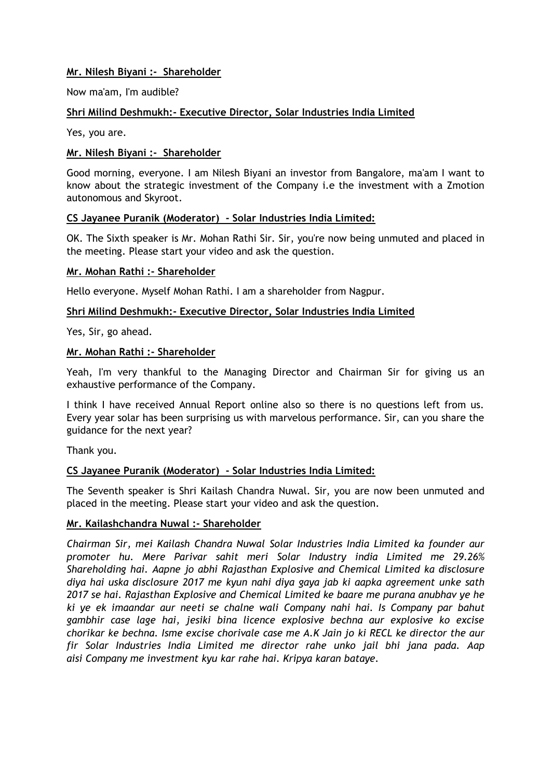# **Mr. Nilesh Biyani :- Shareholder**

Now ma'am, I'm audible?

#### **Shri Milind Deshmukh:- Executive Director, Solar Industries India Limited**

Yes, you are.

#### **Mr. Nilesh Biyani :- Shareholder**

Good morning, everyone. I am Nilesh Biyani an investor from Bangalore, ma'am I want to know about the strategic investment of the Company i.e the investment with a Zmotion autonomous and Skyroot.

#### **CS Jayanee Puranik (Moderator) - Solar Industries India Limited:**

OK. The Sixth speaker is Mr. Mohan Rathi Sir. Sir, you're now being unmuted and placed in the meeting. Please start your video and ask the question.

#### **Mr. Mohan Rathi :- Shareholder**

Hello everyone. Myself Mohan Rathi. I am a shareholder from Nagpur.

#### **Shri Milind Deshmukh:- Executive Director, Solar Industries India Limited**

Yes, Sir, go ahead.

#### **Mr. Mohan Rathi :- Shareholder**

Yeah, I'm very thankful to the Managing Director and Chairman Sir for giving us an exhaustive performance of the Company.

I think I have received Annual Report online also so there is no questions left from us. Every year solar has been surprising us with marvelous performance. Sir, can you share the guidance for the next year?

Thank you.

#### **CS Jayanee Puranik (Moderator) - Solar Industries India Limited:**

The Seventh speaker is Shri Kailash Chandra Nuwal. Sir, you are now been unmuted and placed in the meeting. Please start your video and ask the question.

#### **Mr. Kailashchandra Nuwal :- Shareholder**

*Chairman Sir, mei Kailash Chandra Nuwal Solar Industries India Limited ka founder aur promoter hu. Mere Parivar sahit meri Solar Industry india Limited me 29.26% Shareholding hai. Aapne jo abhi Rajasthan Explosive and Chemical Limited ka disclosure diya hai uska disclosure 2017 me kyun nahi diya gaya jab ki aapka agreement unke sath 2017 se hai. Rajasthan Explosive and Chemical Limited ke baare me purana anubhav ye he ki ye ek imaandar aur neeti se chalne wali Company nahi hai. Is Company par bahut gambhir case lage hai, jesiki bina licence explosive bechna aur explosive ko excise chorikar ke bechna. Isme excise chorivale case me A.K Jain jo ki RECL ke director the aur fir Solar Industries India Limited me director rahe unko jail bhi jana pada. Aap aisi Company me investment kyu kar rahe hai. Kripya karan bataye.*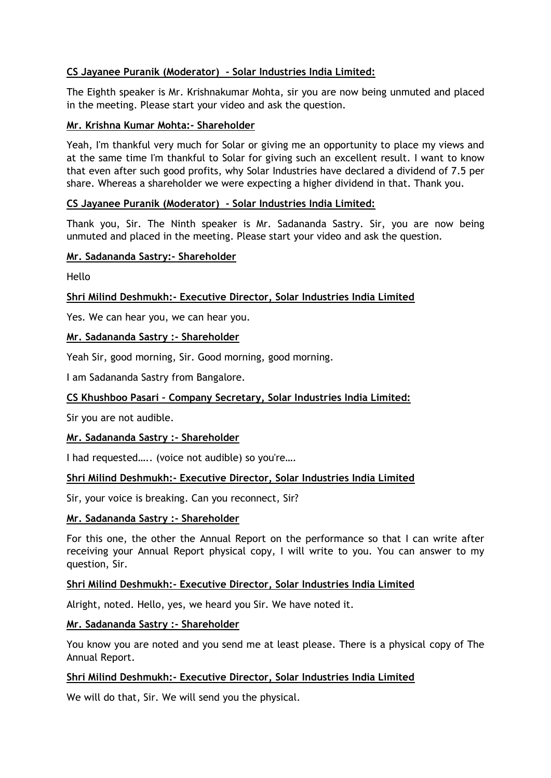# **CS Jayanee Puranik (Moderator) - Solar Industries India Limited:**

The Eighth speaker is Mr. Krishnakumar Mohta, sir you are now being unmuted and placed in the meeting. Please start your video and ask the question.

#### **Mr. Krishna Kumar Mohta:- Shareholder**

Yeah, I'm thankful very much for Solar or giving me an opportunity to place my views and at the same time I'm thankful to Solar for giving such an excellent result. I want to know that even after such good profits, why Solar Industries have declared a dividend of 7.5 per share. Whereas a shareholder we were expecting a higher dividend in that. Thank you.

#### **CS Jayanee Puranik (Moderator) - Solar Industries India Limited:**

Thank you, Sir. The Ninth speaker is Mr. Sadananda Sastry. Sir, you are now being unmuted and placed in the meeting. Please start your video and ask the question.

#### **Mr. Sadananda Sastry:- Shareholder**

Hello

# **Shri Milind Deshmukh:- Executive Director, Solar Industries India Limited**

Yes. We can hear you, we can hear you.

# **Mr. Sadananda Sastry :- Shareholder**

Yeah Sir, good morning, Sir. Good morning, good morning.

I am Sadananda Sastry from Bangalore.

# **CS Khushboo Pasari – Company Secretary, Solar Industries India Limited:**

Sir you are not audible.

#### **Mr. Sadananda Sastry :- Shareholder**

I had requested….. (voice not audible) so you're….

#### **Shri Milind Deshmukh:- Executive Director, Solar Industries India Limited**

Sir, your voice is breaking. Can you reconnect, Sir?

#### **Mr. Sadananda Sastry :- Shareholder**

For this one, the other the Annual Report on the performance so that I can write after receiving your Annual Report physical copy, I will write to you. You can answer to my question, Sir.

#### **Shri Milind Deshmukh:- Executive Director, Solar Industries India Limited**

Alright, noted. Hello, yes, we heard you Sir. We have noted it.

#### **Mr. Sadananda Sastry :- Shareholder**

You know you are noted and you send me at least please. There is a physical copy of The Annual Report.

#### **Shri Milind Deshmukh:- Executive Director, Solar Industries India Limited**

We will do that, Sir. We will send you the physical.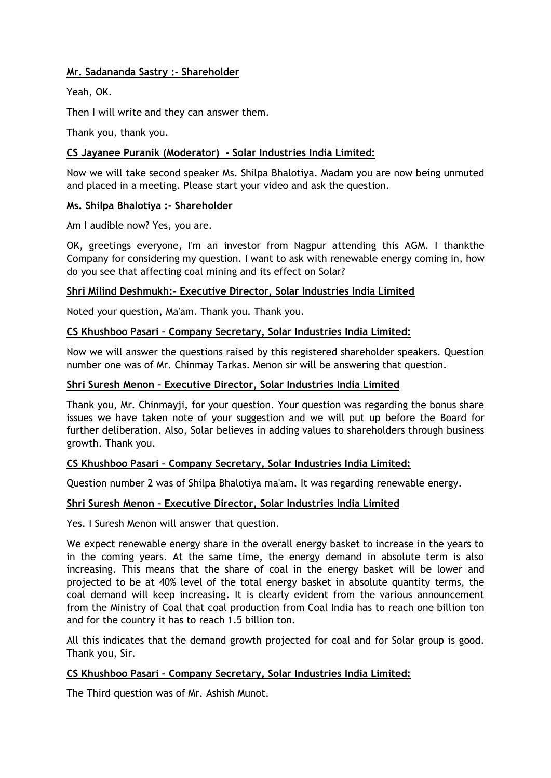# **Mr. Sadananda Sastry :- Shareholder**

Yeah, OK.

Then I will write and they can answer them.

Thank you, thank you.

#### **CS Jayanee Puranik (Moderator) - Solar Industries India Limited:**

Now we will take second speaker Ms. Shilpa Bhalotiya. Madam you are now being unmuted and placed in a meeting. Please start your video and ask the question.

#### **Ms. Shilpa Bhalotiya :- Shareholder**

Am I audible now? Yes, you are.

OK, greetings everyone, I'm an investor from Nagpur attending this AGM. I thankthe Company for considering my question. I want to ask with renewable energy coming in, how do you see that affecting coal mining and its effect on Solar?

#### **Shri Milind Deshmukh:- Executive Director, Solar Industries India Limited**

Noted your question, Ma'am. Thank you. Thank you.

# **CS Khushboo Pasari – Company Secretary, Solar Industries India Limited:**

Now we will answer the questions raised by this registered shareholder speakers. Question number one was of Mr. Chinmay Tarkas. Menon sir will be answering that question.

#### **Shri Suresh Menon – Executive Director, Solar Industries India Limited**

Thank you, Mr. Chinmayji, for your question. Your question was regarding the bonus share issues we have taken note of your suggestion and we will put up before the Board for further deliberation. Also, Solar believes in adding values to shareholders through business growth. Thank you.

#### **CS Khushboo Pasari – Company Secretary, Solar Industries India Limited:**

Question number 2 was of Shilpa Bhalotiya ma'am. It was regarding renewable energy.

#### **Shri Suresh Menon – Executive Director, Solar Industries India Limited**

Yes. I Suresh Menon will answer that question.

We expect renewable energy share in the overall energy basket to increase in the years to in the coming years. At the same time, the energy demand in absolute term is also increasing. This means that the share of coal in the energy basket will be lower and projected to be at 40% level of the total energy basket in absolute quantity terms, the coal demand will keep increasing. It is clearly evident from the various announcement from the Ministry of Coal that coal production from Coal India has to reach one billion ton and for the country it has to reach 1.5 billion ton.

All this indicates that the demand growth projected for coal and for Solar group is good. Thank you, Sir.

#### **CS Khushboo Pasari – Company Secretary, Solar Industries India Limited:**

The Third question was of Mr. Ashish Munot.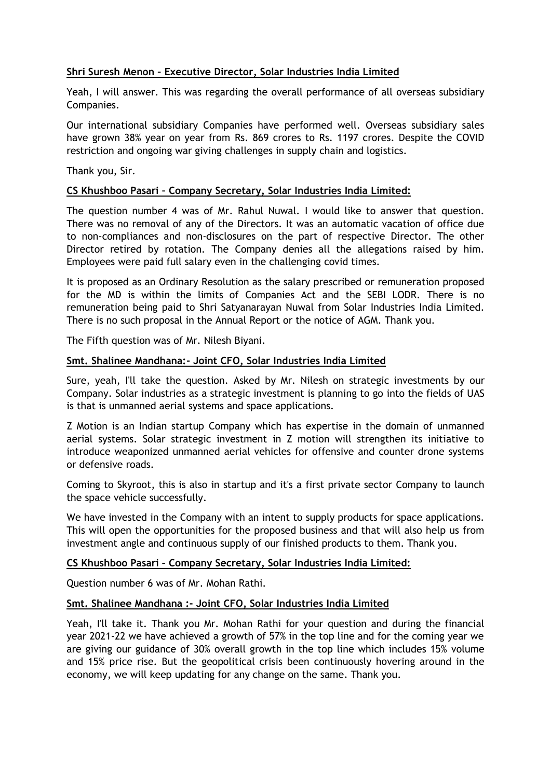# **Shri Suresh Menon – Executive Director, Solar Industries India Limited**

Yeah, I will answer. This was regarding the overall performance of all overseas subsidiary Companies.

Our international subsidiary Companies have performed well. Overseas subsidiary sales have grown 38% year on year from Rs. 869 crores to Rs. 1197 crores. Despite the COVID restriction and ongoing war giving challenges in supply chain and logistics.

Thank you, Sir.

#### **CS Khushboo Pasari – Company Secretary, Solar Industries India Limited:**

The question number 4 was of Mr. Rahul Nuwal. I would like to answer that question. There was no removal of any of the Directors. It was an automatic vacation of office due to non-compliances and non-disclosures on the part of respective Director. The other Director retired by rotation. The Company denies all the allegations raised by him. Employees were paid full salary even in the challenging covid times.

It is proposed as an Ordinary Resolution as the salary prescribed or remuneration proposed for the MD is within the limits of Companies Act and the SEBI LODR. There is no remuneration being paid to Shri Satyanarayan Nuwal from Solar Industries India Limited. There is no such proposal in the Annual Report or the notice of AGM. Thank you.

The Fifth question was of Mr. Nilesh Biyani.

#### **Smt. Shalinee Mandhana:- Joint CFO, Solar Industries India Limited**

Sure, yeah, I'll take the question. Asked by Mr. Nilesh on strategic investments by our Company. Solar industries as a strategic investment is planning to go into the fields of UAS is that is unmanned aerial systems and space applications.

Z Motion is an Indian startup Company which has expertise in the domain of unmanned aerial systems. Solar strategic investment in Z motion will strengthen its initiative to introduce weaponized unmanned aerial vehicles for offensive and counter drone systems or defensive roads.

Coming to Skyroot, this is also in startup and it's a first private sector Company to launch the space vehicle successfully.

We have invested in the Company with an intent to supply products for space applications. This will open the opportunities for the proposed business and that will also help us from investment angle and continuous supply of our finished products to them. Thank you.

#### **CS Khushboo Pasari – Company Secretary, Solar Industries India Limited:**

Question number 6 was of Mr. Mohan Rathi.

#### **Smt. Shalinee Mandhana :- Joint CFO, Solar Industries India Limited**

Yeah, I'll take it. Thank you Mr. Mohan Rathi for your question and during the financial year 2021-22 we have achieved a growth of 57% in the top line and for the coming year we are giving our guidance of 30% overall growth in the top line which includes 15% volume and 15% price rise. But the geopolitical crisis been continuously hovering around in the economy, we will keep updating for any change on the same. Thank you.